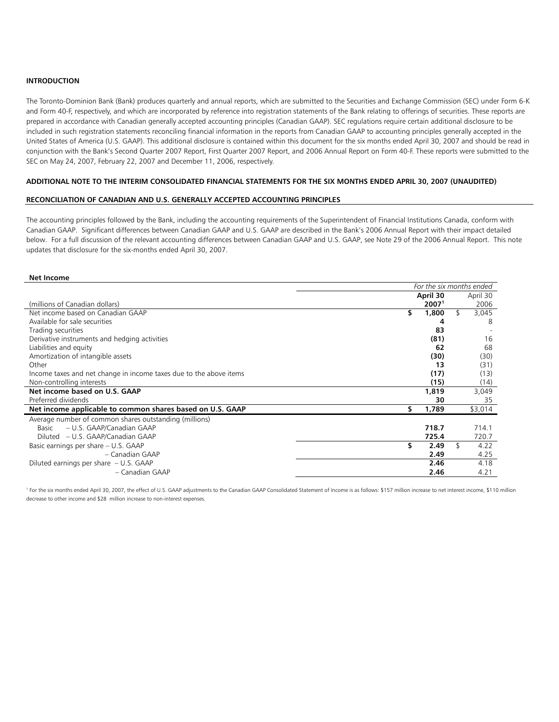## **INTRODUCTION**

The Toronto-Dominion Bank (Bank) produces quarterly and annual reports, which are submitted to the Securities and Exchange Commission (SEC) under Form 6-K and Form 40-F, respectively, and which are incorporated by reference into registration statements of the Bank relating to offerings of securities. These reports are prepared in accordance with Canadian generally accepted accounting principles (Canadian GAAP). SEC regulations require certain additional disclosure to be included in such registration statements reconciling financial information in the reports from Canadian GAAP to accounting principles generally accepted in the United States of America (U.S. GAAP). This additional disclosure is contained within this document for the six months ended April 30, 2007 and should be read in conjunction with the Bank's Second Quarter 2007 Report, First Quarter 2007 Report, and 2006 Annual Report on Form 40-F. These reports were submitted to the SEC on May 24, 2007, February 22, 2007 and December 11, 2006, respectively.

## **ADDITIONAL NOTE TO THE INTERIM CONSOLIDATED FINANCIAL STATEMENTS FOR THE SIX MONTHS ENDED APRIL 30, 2007 (UNAUDITED)**

#### **RECONCILIATION OF CANADIAN AND U.S. GENERALLY ACCEPTED ACCOUNTING PRINCIPLES**

The accounting principles followed by the Bank, including the accounting requirements of the Superintendent of Financial Institutions Canada, conform with Canadian GAAP. Significant differences between Canadian GAAP and U.S. GAAP are described in the Bank's 2006 Annual Report with their impact detailed below. For a full discussion of the relevant accounting differences between Canadian GAAP and U.S. GAAP, see Note 29 of the 2006 Annual Report. This note updates that disclosure for the six-months ended April 30, 2007.

*For the six months ended* 

#### **Net Income**

|                                                                    | For the Six months ended |                   |    |          |  |
|--------------------------------------------------------------------|--------------------------|-------------------|----|----------|--|
|                                                                    |                          | April 30          |    | April 30 |  |
| (millions of Canadian dollars)                                     |                          | 2007 <sup>1</sup> |    | 2006     |  |
| Net income based on Canadian GAAP                                  | \$                       | 1,800             | \$ | 3,045    |  |
| Available for sale securities                                      |                          |                   |    | 8        |  |
| Trading securities                                                 |                          | 83                |    |          |  |
| Derivative instruments and hedging activities                      |                          | (81)              |    | 16       |  |
| Liabilities and equity                                             |                          | 62                |    | 68       |  |
| Amortization of intangible assets                                  |                          | (30)              |    | (30)     |  |
| Other                                                              |                          | 13                |    | (31)     |  |
| Income taxes and net change in income taxes due to the above items |                          | (17)              |    | (13)     |  |
| Non-controlling interests                                          |                          | (15)              |    | (14)     |  |
| Net income based on U.S. GAAP                                      |                          | 1,819             |    | 3,049    |  |
| Preferred dividends                                                |                          | 30                |    | 35       |  |
| Net income applicable to common shares based on U.S. GAAP          | ъ                        | 1,789             |    | \$3,014  |  |
| Average number of common shares outstanding (millions)             |                          |                   |    |          |  |
| – U.S. GAAP/Canadian GAAP<br>Basic                                 |                          | 718.7             |    | 714.1    |  |
| Diluted – U.S. GAAP/Canadian GAAP                                  |                          | 725.4             |    | 720.7    |  |
| Basic earnings per share - U.S. GAAP                               |                          | 2.49              | \$ | 4.22     |  |
| - Canadian GAAP                                                    |                          | 2.49              |    | 4.25     |  |
| Diluted earnings per share $- U.S. GAAP$                           |                          | 2.46              |    | 4.18     |  |
| - Canadian GAAP                                                    |                          | 2.46              |    | 4.21     |  |

<sup>1</sup> For the six months ended April 30, 2007, the effect of U.S. GAAP adjustments to the Canadian GAAP Consolidated Statement of Income is as follows: \$157 million increase to net interest income, \$110 million decrease to other income and \$28 million increase to non-interest expenses.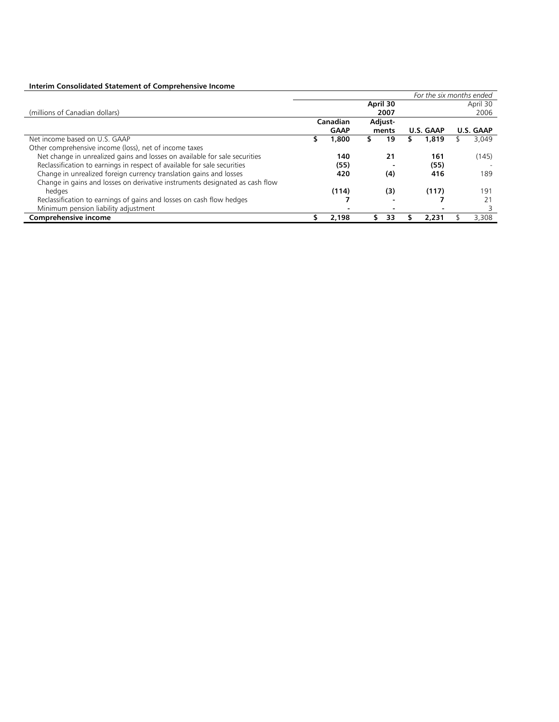# **Interim Consolidated Statement of Comprehensive Income**

|                                                                              | For the six months ended |                     |       |      |           |       |                  |       |
|------------------------------------------------------------------------------|--------------------------|---------------------|-------|------|-----------|-------|------------------|-------|
|                                                                              | April 30                 |                     |       |      |           |       | April 30         |       |
| (millions of Canadian dollars)                                               |                          |                     |       | 2007 |           |       |                  | 2006  |
|                                                                              |                          | Adjust-<br>Canadian |       |      |           |       |                  |       |
|                                                                              |                          | <b>GAAP</b>         | ments |      | U.S. GAAP |       | <b>U.S. GAAP</b> |       |
| Net income based on U.S. GAAP                                                | S                        | 1,800               |       | 19   |           | 1,819 |                  | 3,049 |
| Other comprehensive income (loss), net of income taxes                       |                          |                     |       |      |           |       |                  |       |
| Net change in unrealized gains and losses on available for sale securities   |                          | 140                 |       | 21   |           | 161   |                  | (145) |
| Reclassification to earnings in respect of available for sale securities     |                          | (55)                |       |      |           | (55)  |                  |       |
| Change in unrealized foreign currency translation gains and losses           |                          | 420                 |       | (4)  |           | 416   |                  | 189   |
| Change in gains and losses on derivative instruments designated as cash flow |                          |                     |       |      |           |       |                  |       |
| hedaes                                                                       |                          | (114)               |       | (3)  |           | (117) |                  | 191   |
| Reclassification to earnings of gains and losses on cash flow hedges         |                          |                     |       |      |           |       |                  | 21    |
| Minimum pension liability adjustment                                         |                          |                     |       |      |           |       |                  |       |
| Comprehensive income                                                         |                          | 2.198               |       | 33   |           | 2,231 |                  | 3.308 |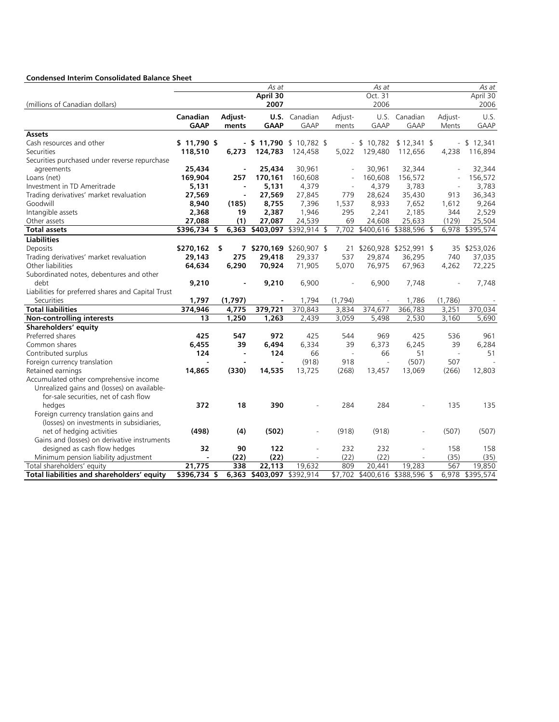# **Condensed Interim Consolidated Balance Sheet**

|                                                    |              |                | As at                    |                          |                          | As at           |                                |                          | As at        |
|----------------------------------------------------|--------------|----------------|--------------------------|--------------------------|--------------------------|-----------------|--------------------------------|--------------------------|--------------|
|                                                    |              |                | April 30                 |                          |                          | Oct. 31         |                                |                          | April 30     |
| (millions of Canadian dollars)                     |              |                | 2007                     |                          |                          | 2006            |                                |                          | 2006         |
|                                                    | Canadian     | Adjust-        |                          | <b>U.S.</b> Canadian     | Adjust-                  | U.S.            | Canadian                       | Adjust-                  | U.S.         |
|                                                    | <b>GAAP</b>  | ments          | <b>GAAP</b>              | <b>GAAP</b>              | ments                    | <b>GAAP</b>     | <b>GAAP</b>                    | Ments                    | <b>GAAP</b>  |
| <b>Assets</b>                                      |              |                |                          |                          |                          |                 |                                |                          |              |
| Cash resources and other                           | $$11,790$ \$ |                | - \$11,790 \$10,782 \$   |                          |                          | $- $10,782$     | $$12,341$ \$                   |                          | $- $12,341$  |
| Securities                                         | 118,510      | 6,273          | 124,783                  | 124,458                  | 5,022                    | 129,480         | 112,656                        | 4,238                    | 116,894      |
| Securities purchased under reverse repurchase      |              |                |                          |                          |                          |                 |                                |                          |              |
| agreements                                         | 25,434       |                | 25,434                   | 30,961                   |                          | 30,961          | 32,344                         |                          | 32,344       |
| Loans (net)                                        | 169,904      | 257            | 170,161                  | 160,608                  |                          | 160,608         | 156,572                        |                          | 156,572      |
| Investment in TD Ameritrade                        | 5,131        | $\blacksquare$ | 5,131                    | 4,379                    |                          | 4,379           | 3,783                          |                          | 3,783        |
| Trading derivatives' market revaluation            | 27,569       |                | 27,569                   | 27,845                   | 779                      | 28,624          | 35,430                         | 913                      | 36,343       |
| Goodwill                                           | 8,940        | (185)          | 8,755                    | 7,396                    | 1,537                    | 8,933           | 7,652                          | 1,612                    | 9,264        |
| Intangible assets                                  | 2,368        | 19             | 2,387                    | 1,946                    | 295                      | 2,241           | 2,185                          | 344                      | 2,529        |
| Other assets                                       | 27,088       | (1)            | 27,087                   | 24,539                   | 69                       | 24,608          | 25,633                         | (129)                    | 25,504       |
| <b>Total assets</b>                                | \$396,734 \$ |                | 6,363 \$403,097          | \$392,914 \$             |                          | 7,702 \$400,616 | \$388,596 \$                   | 6,978                    | \$395,574    |
| <b>Liabilities</b>                                 |              |                |                          |                          |                          |                 |                                |                          |              |
| Deposits                                           | \$270,162    | \$             | 7 \$270,169 \$260,907 \$ |                          | 21                       |                 | \$260,928 \$252,991 \$         |                          | 35 \$253,026 |
| Trading derivatives' market revaluation            | 29,143       | 275            | 29,418                   | 29,337                   | 537                      | 29,874          | 36,295                         | 740                      | 37,035       |
| Other liabilities                                  | 64,634       | 6,290          | 70,924                   | 71,905                   | 5,070                    | 76,975          | 67,963                         | 4,262                    | 72,225       |
| Subordinated notes, debentures and other           |              |                |                          |                          |                          |                 |                                |                          |              |
| debt                                               | 9,210        |                | 9,210                    | 6,900                    |                          | 6,900           | 7,748                          |                          | 7,748        |
| Liabilities for preferred shares and Capital Trust |              |                |                          |                          |                          |                 |                                |                          |              |
| Securities                                         | 1,797        | (1,797)        |                          | 1,794                    | (1,794)                  |                 | 1,786                          | (1,786)                  |              |
| <b>Total liabilities</b>                           | 374,946      | 4,775          | 379,721                  | 370,843                  | 3,834                    | 374,677         | 366,783                        | 3,251                    | 370,034      |
| <b>Non-controlling interests</b>                   | 13           | 1,250          | 1,263                    | 2,439                    | 3,059                    | 5,498           | 2,530                          | 3,160                    | 5,690        |
| Shareholders' equity                               |              |                |                          |                          |                          |                 |                                |                          |              |
| Preferred shares                                   | 425          | 547            | 972                      | 425                      | 544                      | 969             | 425                            | 536                      | 961          |
| Common shares                                      | 6,455        | 39             | 6,494                    | 6,334                    | 39                       | 6,373           | 6,245                          | 39                       | 6,284        |
| Contributed surplus                                | 124          |                | 124                      | 66                       | $\overline{\phantom{a}}$ | 66              | 51                             | $\overline{\phantom{a}}$ | 51           |
| Foreign currency translation                       |              |                | $\blacksquare$           | (918)                    | 918                      | $\sim$          | (507)                          | 507                      |              |
| Retained earnings                                  | 14,865       | (330)          | 14,535                   | 13,725                   | (268)                    | 13,457          | 13,069                         | (266)                    | 12,803       |
| Accumulated other comprehensive income             |              |                |                          |                          |                          |                 |                                |                          |              |
| Unrealized gains and (losses) on available-        |              |                |                          |                          |                          |                 |                                |                          |              |
| for-sale securities, net of cash flow              |              |                |                          |                          |                          |                 |                                |                          |              |
| hedges                                             | 372          | 18             | 390                      |                          | 284                      | 284             |                                | 135                      | 135          |
| Foreign currency translation gains and             |              |                |                          |                          |                          |                 |                                |                          |              |
| (losses) on investments in subsidiaries,           |              |                |                          |                          |                          |                 |                                |                          |              |
| net of hedging activities                          | (498)        | (4)            | (502)                    |                          | (918)                    | (918)           |                                | (507)                    | (507)        |
| Gains and (losses) on derivative instruments       |              |                |                          |                          |                          |                 |                                |                          |              |
| designed as cash flow hedges                       | 32           | 90             | 122                      |                          | 232                      | 232             |                                | 158                      | 158          |
| Minimum pension liability adjustment               |              | (22)           | (22)                     | $\overline{\phantom{a}}$ | (22)                     | (22)            |                                | (35)                     | (35)         |
| Total shareholders' equity                         | 21,775       | 338            | 22,113                   | 19,632                   | 809                      | 20,441          | 19,283                         | 567                      | 19,850       |
| Total liabilities and shareholders' equity         | \$396,734 \$ | 6,363          | \$403,097 \$392,914      |                          |                          |                 | \$7,702 \$400,616 \$388,596 \$ | 6,978                    | \$395,574    |
|                                                    |              |                |                          |                          |                          |                 |                                |                          |              |